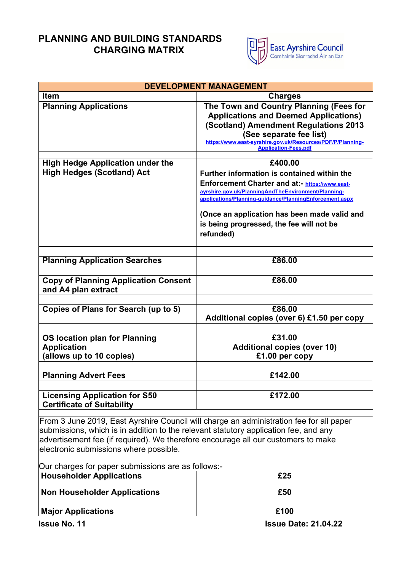## **PLANNING AND BUILDING STANDARDS CHARGING MATRIX**



| <b>DEVELOPMENT MANAGEMENT</b>                                                           |                                                                                           |  |
|-----------------------------------------------------------------------------------------|-------------------------------------------------------------------------------------------|--|
| <b>Item</b>                                                                             | <b>Charges</b>                                                                            |  |
| <b>Planning Applications</b>                                                            | The Town and Country Planning (Fees for                                                   |  |
|                                                                                         | <b>Applications and Deemed Applications)</b>                                              |  |
|                                                                                         | (Scotland) Amendment Regulations 2013                                                     |  |
|                                                                                         | (See separate fee list)                                                                   |  |
|                                                                                         | https://www.east-ayrshire.gov.uk/Resources/PDF/P/Planning-<br><b>Application-Fees.pdf</b> |  |
|                                                                                         |                                                                                           |  |
| <b>High Hedge Application under the</b>                                                 | £400.00                                                                                   |  |
| <b>High Hedges (Scotland) Act</b>                                                       | Further information is contained within the                                               |  |
|                                                                                         | Enforcement Charter and at:- https://www.east-                                            |  |
|                                                                                         | ayrshire.gov.uk/PlanningAndTheEnvironment/Planning-                                       |  |
|                                                                                         | applications/Planning-guidance/PlanningEnforcement.aspx                                   |  |
|                                                                                         | (Once an application has been made valid and                                              |  |
|                                                                                         | is being progressed, the fee will not be                                                  |  |
|                                                                                         |                                                                                           |  |
|                                                                                         | refunded)                                                                                 |  |
|                                                                                         |                                                                                           |  |
| <b>Planning Application Searches</b>                                                    | £86.00                                                                                    |  |
|                                                                                         |                                                                                           |  |
| <b>Copy of Planning Application Consent</b>                                             | £86.00                                                                                    |  |
| and A4 plan extract                                                                     |                                                                                           |  |
|                                                                                         |                                                                                           |  |
| Copies of Plans for Search (up to 5)                                                    | £86.00                                                                                    |  |
|                                                                                         | Additional copies (over 6) £1.50 per copy                                                 |  |
|                                                                                         |                                                                                           |  |
| <b>OS location plan for Planning</b>                                                    | £31.00                                                                                    |  |
| <b>Application</b>                                                                      | <b>Additional copies (over 10)</b>                                                        |  |
| (allows up to 10 copies)                                                                | £1.00 per copy                                                                            |  |
|                                                                                         |                                                                                           |  |
| <b>Planning Advert Fees</b>                                                             | £142.00                                                                                   |  |
|                                                                                         |                                                                                           |  |
| <b>Licensing Application for S50</b>                                                    | £172.00                                                                                   |  |
| <b>Certificate of Suitability</b>                                                       |                                                                                           |  |
| From 3 June 2019, East Ayrshire Council will charge an administration fee for all paper |                                                                                           |  |
| submissions, which is in addition to the relevant statutory application fee, and any    |                                                                                           |  |
| advertisement fee (if required). We therefore encourage all our customers to make       |                                                                                           |  |
| electronic submissions where possible.                                                  |                                                                                           |  |

Our charges for paper submissions are as follows:-

| <b>Householder Applications</b> | £25                         |
|---------------------------------|-----------------------------|
| Non Householder Applications    | £50                         |
| <b>Major Applications</b>       | £100                        |
| <b>Issue No. 11</b>             | <b>Issue Date: 21.04.22</b> |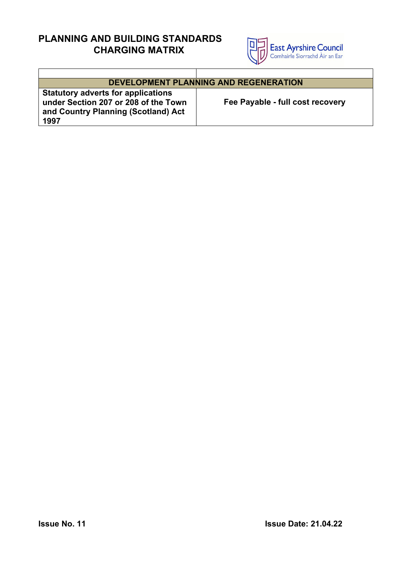## **PLANNING AND BUILDING STANDARDS CHARGING MATRIX**



| <b>DEVELOPMENT PLANNING AND REGENERATION</b>                                                                                     |                                  |  |
|----------------------------------------------------------------------------------------------------------------------------------|----------------------------------|--|
| <b>Statutory adverts for applications</b><br>under Section 207 or 208 of the Town<br>and Country Planning (Scotland) Act<br>1997 | Fee Payable - full cost recovery |  |